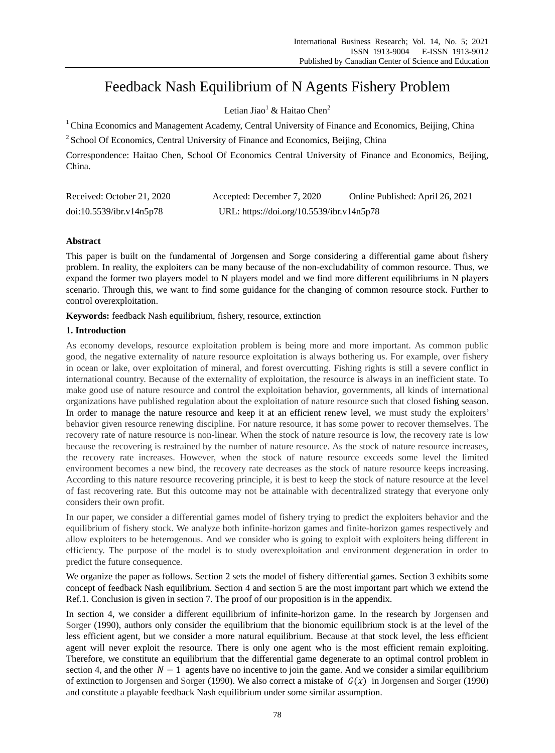# Feedback Nash Equilibrium of N Agents Fishery Problem

Letian Jiao<sup>1</sup> & Haitao Chen<sup>2</sup>

<sup>1</sup> China Economics and Management Academy, Central University of Finance and Economics, Beijing, China

<sup>2</sup> School Of Economics, Central University of Finance and Economics, Beijing, China

Correspondence: Haitao Chen, School Of Economics Central University of Finance and Economics, Beijing, China.

| Received: October 21, 2020 | Accepted: December 7, 2020                | Online Published: April 26, 2021 |
|----------------------------|-------------------------------------------|----------------------------------|
| doi:10.5539/ibr.v14n5p78   | URL: https://doi.org/10.5539/ibr.v14n5p78 |                                  |

# **Abstract**

This paper is built on the fundamental of Jorgensen and Sorge considering a differential game about fishery problem. In reality, the exploiters can be many because of the non-excludability of common resource. Thus, we expand the former two players model to N players model and we find more different equilibriums in N players scenario. Through this, we want to find some guidance for the changing of common resource stock. Further to control overexploitation.

**Keywords:** feedback Nash equilibrium, fishery, resource, extinction

# **1. Introduction**

As economy develops, resource exploitation problem is being more and more important. As common public good, the negative externality of nature resource exploitation is always bothering us. For example, over fishery in ocean or lake, over exploitation of mineral, and forest overcutting. Fishing rights is still a severe conflict in international country. Because of the externality of exploitation, the resource is always in an inefficient state. To make good use of nature resource and control the exploitation behavior, governments, all kinds of international organizations have published regulation about the exploitation of nature resource such that closed fishing season. In order to manage the nature resource and keep it at an efficient renew level, we must study the exploiters' behavior given resource renewing discipline. For nature resource, it has some power to recover themselves. The recovery rate of nature resource is non-linear. When the stock of nature resource is low, the recovery rate is low because the recovering is restrained by the number of nature resource. As the stock of nature resource increases, the recovery rate increases. However, when the stock of nature resource exceeds some level the limited environment becomes a new bind, the recovery rate decreases as the stock of nature resource keeps increasing. According to this nature resource recovering principle, it is best to keep the stock of nature resource at the level of fast recovering rate. But this outcome may not be attainable with decentralized strategy that everyone only considers their own profit.

In our paper, we consider a differential games model of fishery trying to predict the exploiters behavior and the equilibrium of fishery stock. We analyze both infinite-horizon games and finite-horizon games respectively and allow exploiters to be heterogenous. And we consider who is going to exploit with exploiters being different in efficiency. The purpose of the model is to study overexploitation and environment degeneration in order to predict the future consequence.

We organize the paper as follows. Section 2 sets the model of fishery differential games. Section 3 exhibits some concept of feedback Nash equilibrium. Section 4 and section 5 are the most important part which we extend the Ref.1. Conclusion is given in section 7. The proof of our proposition is in the appendix.

In section 4, we consider a different equilibrium of infinite-horizon game. In the research by Jorgensen and Sorger (1990), authors only consider the equilibrium that the bionomic equilibrium stock is at the level of the less efficient agent, but we consider a more natural equilibrium. Because at that stock level, the less efficient agent will never exploit the resource. There is only one agent who is the most efficient remain exploiting. Therefore, we constitute an equilibrium that the differential game degenerate to an optimal control problem in section 4, and the other  $N - 1$  agents have no incentive to join the game. And we consider a similar equilibrium of extinction to Jorgensen and Sorger (1990). We also correct a mistake of  $G(x)$  in Jorgensen and Sorger (1990) and constitute a playable feedback Nash equilibrium under some similar assumption.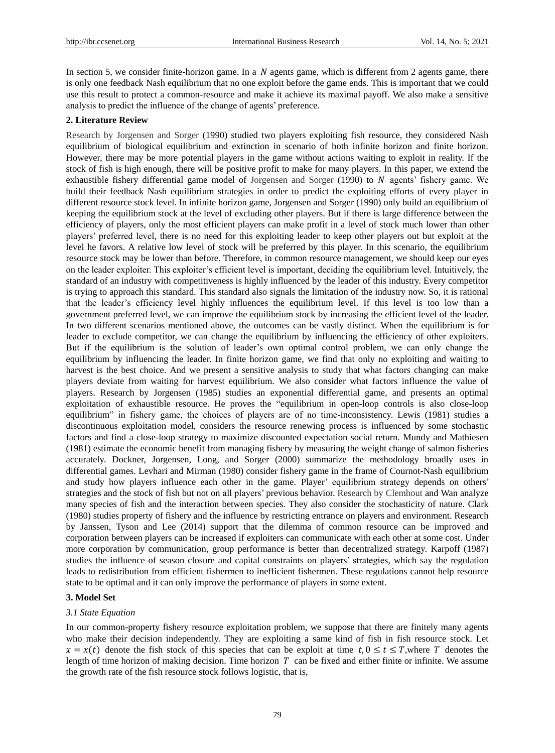In section 5, we consider finite-horizon game. In a  $N$  agents game, which is different from 2 agents game, there is only one feedback Nash equilibrium that no one exploit before the game ends. This is important that we could use this result to protect a common-resource and make it achieve its maximal payoff. We also make a sensitive analysis to predict the influence of the change of agents' preference.

#### **2. Literature Review**

Research by Jorgensen and Sorger (1990) studied two players exploiting fish resource, they considered Nash equilibrium of biological equilibrium and extinction in scenario of both infinite horizon and finite horizon. However, there may be more potential players in the game without actions waiting to exploit in reality. If the stock of fish is high enough, there will be positive profit to make for many players. In this paper, we extend the exhaustible fishery differential game model of Jorgensen and Sorger  $(1990)$  to N agents' fishery game. We build their feedback Nash equilibrium strategies in order to predict the exploiting efforts of every player in different resource stock level. In infinite horizon game, Jorgensen and Sorger (1990) only build an equilibrium of keeping the equilibrium stock at the level of excluding other players. But if there is large difference between the efficiency of players, only the most efficient players can make profit in a level of stock much lower than other players' preferred level, there is no need for this exploiting leader to keep other players out but exploit at the level he favors. A relative low level of stock will be preferred by this player. In this scenario, the equilibrium resource stock may be lower than before. Therefore, in common resource management, we should keep our eyes on the leader exploiter. This exploiter's efficient level is important, deciding the equilibrium level. Intuitively, the standard of an industry with competitiveness is highly influenced by the leader of this industry. Every competitor is trying to approach this standard. This standard also signals the limitation of the industry now. So, it is rational that the leader's efficiency level highly influences the equilibrium level. If this level is too low than a government preferred level, we can improve the equilibrium stock by increasing the efficient level of the leader. In two different scenarios mentioned above, the outcomes can be vastly distinct. When the equilibrium is for leader to exclude competitor, we can change the equilibrium by influencing the efficiency of other exploiters. But if the equilibrium is the solution of leader's own optimal control problem, we can only change the equilibrium by influencing the leader. In finite horizon game, we find that only no exploiting and waiting to harvest is the best choice. And we present a sensitive analysis to study that what factors changing can make players deviate from waiting for harvest equilibrium. We also consider what factors influence the value of players. Research by Jorgensen (1985) studies an exponential differential game, and presents an optimal exploitation of exhaustible resource. He proves the "equilibrium in open-loop controls is also close-loop equilibrium" in fishery game, the choices of players are of no time-inconsistency. Lewis (1981) studies a discontinuous exploitation model, considers the resource renewing process is influenced by some stochastic factors and find a close-loop strategy to maximize discounted expectation social return. Mundy and Mathiesen (1981) estimate the economic benefit from managing fishery by measuring the weight change of salmon fisheries accurately. Dockner, Jorgensen, Long, and Sorger (2000) summarize the methodology broadly uses in differential games. Levhari and Mirman (1980) consider fishery game in the frame of Cournot-Nash equilibrium and study how players influence each other in the game. Player' equilibrium strategy depends on others' strategies and the stock of fish but not on all players' previous behavior. Research by Clemhout and Wan analyze many species of fish and the interaction between species. They also consider the stochasticity of nature. Clark (1980) studies property of fishery and the influence by restricting entrance on players and environment. Research by Janssen, Tyson and Lee (2014) support that the dilemma of common resource can be improved and corporation between players can be increased if exploiters can communicate with each other at some cost. Under more corporation by communication, group performance is better than decentralized strategy. Karpoff (1987) studies the influence of season closure and capital constraints on players' strategies, which say the regulation leads to redistribution from efficient fishermen to inefficient fishermen. These regulations cannot help resource state to be optimal and it can only improve the performance of players in some extent.

## **3. Model Set**

#### *3.1 State Equation*

In our common-property fishery resource exploitation problem, we suppose that there are finitely many agents who make their decision independently. They are exploiting a same kind of fish in fish resource stock. Let  $x = x(t)$  denote the fish stock of this species that can be exploit at time  $t, 0 \le t \le T$ , where T denotes the length of time horizon of making decision. Time horizon  $T$  can be fixed and either finite or infinite. We assume the growth rate of the fish resource stock follows logistic, that is,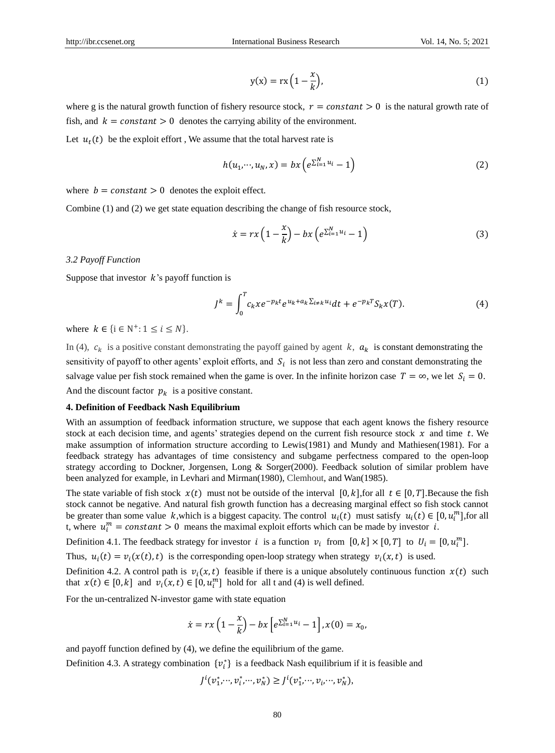$$
y(x) = rx\left(1 - \frac{x}{k}\right),\tag{1}
$$

where g is the natural growth function of fishery resource stock,  $r = constant > 0$  is the natural growth rate of fish, and  $k = constant > 0$  denotes the carrying ability of the environment.

Let  $u_t(t)$  be the exploit effort, We assume that the total harvest rate is

$$
h(u_1, \cdots, u_N, x) = bx \left( e^{\sum_{i=1}^N u_i} - 1 \right) \tag{2}
$$

where  $b = constant > 0$  denotes the exploit effect.

Combine (1) and (2) we get state equation describing the change of fish resource stock,

$$
\dot{x} = rx\left(1 - \frac{x}{k}\right) - bx\left(e^{\sum_{i=1}^{N} u_i} - 1\right) \tag{3}
$$

#### *3.2 Payoff Function*

Suppose that investor  $k$ 's payoff function is

$$
J^k = \int_0^T c_k x e^{-p_k t} e^{u_k + a_k \sum_{i \neq k} u_i} dt + e^{-p_k T} S_k x(T). \tag{4}
$$

where  $k \in \{i \in \mathbb{N}^+: 1 \le i \le N\}.$ 

In (4),  $c_k$  is a positive constant demonstrating the payoff gained by agent k,  $a_k$  is constant demonstrating the sensitivity of payoff to other agents' exploit efforts, and  $S_i$  is not less than zero and constant demonstrating the salvage value per fish stock remained when the game is over. In the infinite horizon case  $T = \infty$ , we let  $S_i = 0$ . And the discount factor  $p_k$  is a positive constant.

## **4. Definition of Feedback Nash Equilibrium**

With an assumption of feedback information structure, we suppose that each agent knows the fishery resource stock at each decision time, and agents' strategies depend on the current fish resource stock  $x$  and time  $t$ . We make assumption of information structure according to Lewis(1981) and Mundy and Mathiesen(1981). For a feedback strategy has advantages of time consistency and subgame perfectness compared to the open-loop strategy according to Dockner, Jorgensen, Long & Sorger(2000). Feedback solution of similar problem have been analyzed for example, in Levhari and Mirman(1980), Clemhout, and Wan(1985).

The state variable of fish stock  $x(t)$  must not be outside of the interval  $[0, k]$ , for all  $t \in [0, T]$ . Because the fish stock cannot be negative. And natural fish growth function has a decreasing marginal effect so fish stock cannot be greater than some value k, which is a biggest capacity. The control  $u_i(t)$  must satisfy  $u_i(t) \in [0, u_i^m]$ , for all t, where  $u_i^m = constant > 0$  means the maximal exploit efforts which can be made by investor *i*.

Definition 4.1. The feedback strategy for investor i is a function  $v_i$  from  $[0, k] \times [0, T]$  to  $U_i = [0, u_i^m]$ .

Thus,  $u_i(t) = v_i(x(t),t)$  is the corresponding open-loop strategy when strategy  $v_i(x,t)$  is used.

Definition 4.2. A control path is  $v_i(x,t)$  feasible if there is a unique absolutely continuous function  $x(t)$  such that  $x(t) \in [0, k]$  and  $v_i(x, t) \in [0, u_i^m]$  hold for all t and (4) is well defined.

For the un-centralized N-investor game with state equation

$$
\dot{x}=rx\left(1-\frac{x}{k}\right)-bx\left[e^{\sum_{i=1}^{N}u_i}-1\right], x(0)=x_0,
$$

and payoff function defined by (4), we define the equilibrium of the game.

Definition 4.3. A strategy combination  $\{v_i^*\}$  is a feedback Nash equilibrium if it is feasible and

 $J^{i}(v_{1}^{*},...,v_{i}^{*},...,v_{N}^{*}) \geq J^{i}(v_{1}^{*},...,v_{i},...,v_{N}^{*}),$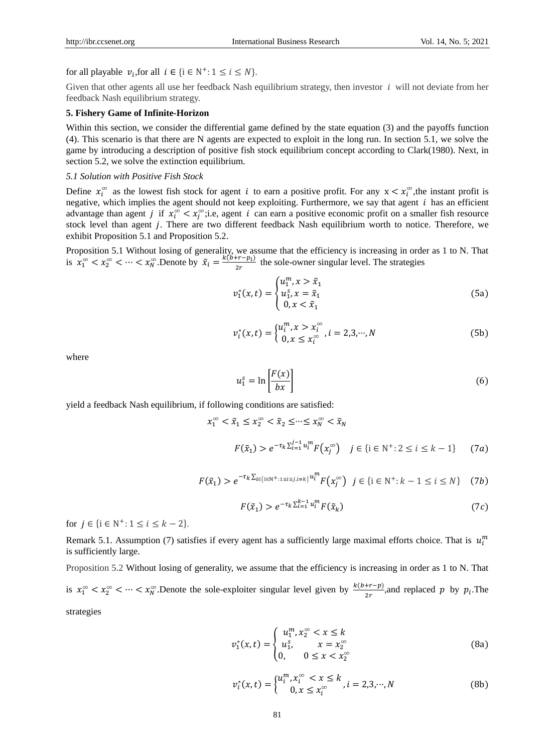for all playable  $v_i$ , for all  $i \in \{i \in \mathbb{N}^+: 1 \le i \le N\}.$ 

Given that other agents all use her feedback Nash equilibrium strategy, then investor  $i$  will not deviate from her feedback Nash equilibrium strategy.

### **5. Fishery Game of Infinite-Horizon**

Within this section, we consider the differential game defined by the state equation (3) and the payoffs function (4). This scenario is that there are N agents are expected to exploit in the long run. In section 5.1, we solve the game by introducing a description of positive fish stock equilibrium concept according to Clark(1980). Next, in section 5.2, we solve the extinction equilibrium.

## *5.1 Solution with Positive Fish Stock*

Define  $x_i^{\infty}$  as the lowest fish stock for agent *i* to earn a positive profit. For any  $x < x_i^{\infty}$ , the instant profit is negative, which implies the agent should not keep exploiting. Furthermore, we say that agent  $i$  has an efficient advantage than agent *j* if  $x_i^{\infty} < x_j^{\infty}$ ; i.e, agent *i* can earn a positive economic profit on a smaller fish resource stock level than agent *j*. There are two different feedback Nash equilibrium worth to notice. Therefore, we exhibit Proposition 5.1 and Proposition 5.2.

Proposition 5.1 Without losing of generality, we assume that the efficiency is increasing in order as 1 to N. That is  $x_1^{\infty} < x_2^{\infty} < \cdots < x_N^{\infty}$ . Denote by  $\tilde{x}_i = \frac{k(b+r-p_i)}{2r}$  $\frac{F_t - p_t}{2r}$  the sole-owner singular level. The strategies

$$
v_1^*(x,t) = \begin{cases} u_1^m, x > \tilde{x}_1 \\ u_1^s, x = \tilde{x}_1 \\ 0, x < \tilde{x}_1 \end{cases}
$$
 (5a)

$$
v_i^*(x,t) = \begin{cases} u_i^m, x > x_i^{\infty} \\ 0, x \le x_i^{\infty} \end{cases}, i = 2,3,\cdots,N
$$
 (5b)

where

$$
u_1^s = \ln\left[\frac{F(x)}{bx}\right] \tag{6}
$$

yield a feedback Nash equilibrium, if following conditions are satisfied:

$$
x_1^{\infty} < \tilde{x}_1 \le x_2^{\infty} < \tilde{x}_2 \le \cdots \le x_N^{\infty} < \tilde{x}_N
$$
\n
$$
F(\tilde{x}_1) > e^{-\tau_k \sum_{i=1}^{j-1} u_i^m} F(x_j^{\infty}) \quad j \in \{i \in \mathbb{N}^+ : 2 \le i \le k-1\} \tag{7a}
$$

$$
F(\tilde{x}_1) > e^{-\tau_k \sum_{i \in \{i \in \mathbb{N}^+ : 1 \le i \le j, i \ne k\}} u_i^m} F(x_j^{\infty}) \quad j \in \{i \in \mathbb{N}^+ : k - 1 \le i \le N\} \tag{7b}
$$

$$
F(\tilde{x}_1) > e^{-\tau_k \sum_{i=1}^{k-1} u_i^m} F(\tilde{x}_k) \tag{7c}
$$

for  $j \in \{i \in \mathbb{N}^+: 1 \le i \le k-2\}.$ 

Remark 5.1. Assumption (7) satisfies if every agent has a sufficiently large maximal efforts choice. That is  $u_i^m$ is sufficiently large.

Proposition 5.2 Without losing of generality, we assume that the efficiency is increasing in order as 1 to N. That is  $x_1^{\infty} < x_2^{\infty} < \cdots < x_N^{\infty}$ . Denote the sole-exploiter singular level given by  $\frac{k(b+r-p)}{2r}$ , and replaced p by  $p_i$ . The strategies

$$
v_1^*(x,t) = \begin{cases} u_1^m, x_2^\infty < x \le k \\ u_1^s, & x = x_2^\infty \\ 0, & 0 \le x < x_2^\infty \end{cases} \tag{8a}
$$

$$
v_i^*(x,t) = \begin{cases} u_i^m, x_i^{\infty} < x \le k \\ 0, x \le x_i^{\infty} \end{cases}, i = 2,3,\cdots,N \tag{8b}
$$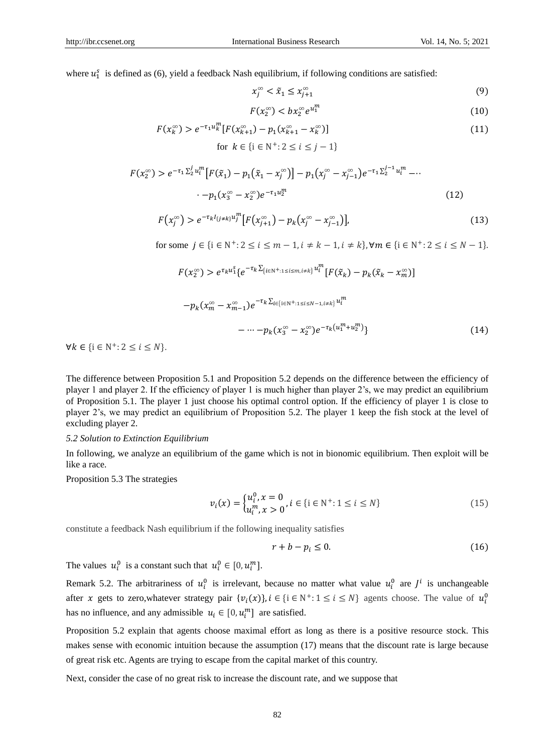where  $u_1^s$  is defined as (6), yield a feedback Nash equilibrium, if following conditions are satisfied:

$$
x_j^{\infty} < \tilde{x}_1 \le x_{j+1}^{\infty} \tag{9}
$$

$$
F(x_2^{\infty}) < bx_2^{\infty} e^{u_1^m} \tag{10}
$$

$$
F(x_k^{\infty}) > e^{-\tau_1 u_k^m} [F(x_{k+1}^{\infty}) - p_1(x_{k+1}^{\infty} - x_k^{\infty})]
$$
  
for  $k \in \{i \in \mathbb{N}^+ : 2 \le i \le j - 1\}$  (11)

$$
F(x_2^{\infty}) > e^{-\tau_1 \sum_{2}^{j} u_i^m} \left[ F(\tilde{x}_1) - p_1(\tilde{x}_1 - x_j^{\infty}) \right] - p_1(x_j^{\infty} - x_{j-1}^{\infty}) e^{-\tau_1 \sum_{2}^{j-1} u_i^m} - \cdots
$$
  
 
$$
-p_1(x_3^{\infty} - x_2^{\infty}) e^{-\tau_1 u_2^m}
$$
 (12)

$$
F(x_j^{\infty}) > e^{-\tau_k I_{\{j \neq k\}} u_j^m} \big[ F(x_{j+1}^{\infty}) - p_k (x_j^{\infty} - x_{j-1}^{\infty}) \big], \tag{13}
$$

for some  $j \in \{i \in \mathbb{N}^+ : 2 \le i \le m - 1, i \ne k - 1, i \ne k\}$ ,  $\forall m \in \{i \in \mathbb{N}^+ : 2 \le i \le N - 1\}$ .

$$
F(x_2^{\infty}) > e^{\tau_k u_1^s} \{ e^{-\tau_k \sum_{\{i \in \mathbb{N}^+ : 1 \le i \le m, i \neq k\}} u_i^m} [F(\tilde{x}_k) - p_k(\tilde{x}_k - x_m^{\infty})]
$$

$$
-p_{k}(x_{m}^{\infty}-x_{m-1}^{\infty})e^{-\tau_{k}\sum_{i\in\{i\in\mathbb{N}^{+}:1\leq i\leq N-1,i\neq k\}}u_{i}^{m}} -\cdots-p_{k}(x_{3}^{\infty}-x_{2}^{\infty})e^{-\tau_{k}(u_{1}^{m}+u_{2}^{m})}]
$$
\n(14)

 $\forall k \in \{i \in \mathbb{N}^+: 2 \leq i \leq N\}.$ 

The difference between Proposition 5.1 and Proposition 5.2 depends on the difference between the efficiency of player 1 and player 2. If the efficiency of player 1 is much higher than player 2's, we may predict an equilibrium of Proposition 5.1. The player 1 just choose his optimal control option. If the efficiency of player 1 is close to player 2's, we may predict an equilibrium of Proposition 5.2. The player 1 keep the fish stock at the level of excluding player 2.

#### *5.2 Solution to Extinction Equilibrium*

In following, we analyze an equilibrium of the game which is not in bionomic equilibrium. Then exploit will be like a race.

Proposition 5.3 The strategies

$$
v_i(x) = \begin{cases} u_i^0, x = 0\\ u_i^m, x > 0 \end{cases}, i \in \{i \in \mathbb{N}^+: 1 \le i \le N\} \tag{15}
$$

constitute a feedback Nash equilibrium if the following inequality satisfies

$$
r + b - p_i \le 0. \tag{16}
$$

The values  $u_i^0$  is a constant such that  $u_i^0 \in [0, u_i^m]$ .

Remark 5.2. The arbitrariness of  $u_i^0$  is irrelevant, because no matter what value  $u_i^0$  are  $J^i$  is unchangeable after x gets to zero,whatever strategy pair  $\{v_i(x)\}\$ ,  $i \in \{i \in \mathbb{N}^+: 1 \le i \le N\}$  agents choose. The value of  $u_i^0$ has no influence, and any admissible  $u_i \in [0, u_i^m]$  are satisfied.

Proposition 5.2 explain that agents choose maximal effort as long as there is a positive resource stock. This makes sense with economic intuition because the assumption (17) means that the discount rate is large because of great risk etc. Agents are trying to escape from the capital market of this country.

Next, consider the case of no great risk to increase the discount rate, and we suppose that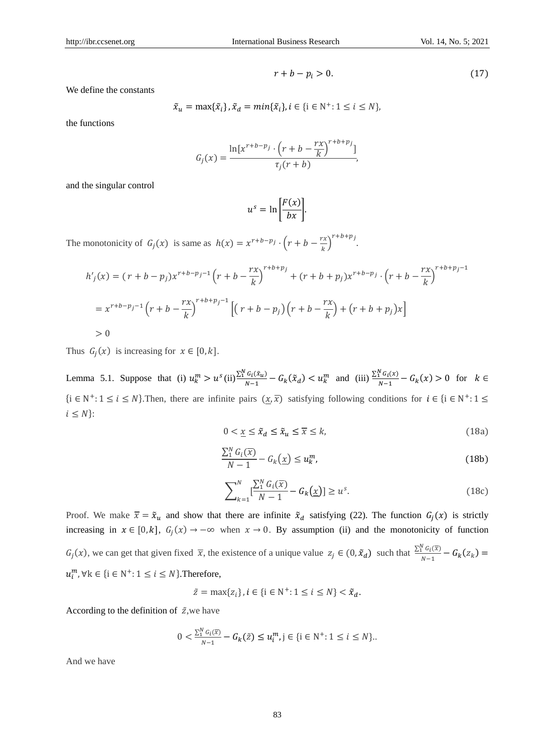$$
r + b - p_i > 0. \tag{17}
$$

We define the constants

$$
\tilde{x}_u = \max\{\tilde{x}_i\}, \tilde{x}_d = \min\{\tilde{x}_i\}, i \in \{i \in \mathbb{N}^+: 1 \le i \le N\},\
$$

the functions

$$
G_j(x) = \frac{\ln[x^{r+b-p_j} \cdot \left(r+b-\frac{rx}{k}\right)^{r+b+p_j}]}{\tau_j(r+b)},
$$

and the singular control

$$
u^s = \ln\left[\frac{F(x)}{bx}\right].
$$

The monotonicity of  $G_j(x)$  is same as  $h(x) = x^{r+b-p} \cdot (r+b-\frac{rx}{k})$  $\left(\frac{rx}{k}\right)^{r+b+p_j}$ .

$$
h'_{j}(x) = (r + b - p_{j})x^{r+b-p_{j}-1} \left(r + b - \frac{rx}{k}\right)^{r+b+p_{j}} + (r + b + p_{j})x^{r+b-p_{j}} \cdot \left(r + b - \frac{rx}{k}\right)^{r+b+p_{j}-1}
$$
  
=  $x^{r+b-p_{j}-1} \left(r + b - \frac{rx}{k}\right)^{r+b+p_{j}-1} \left[ \left(r + b - p_{j}\right)\left(r + b - \frac{rx}{k}\right) + \left(r + b + p_{j}\right)x \right]$   
> 0

Thus  $G_j(x)$  is increasing for  $x \in [0, k]$ .

Lemma 5.1. Suppose that (i)  $u_k^m > u^s$  (ii)  $\frac{\sum_{i=1}^{N} G_i(\tilde{x}_{u})}{N-1}$  $\frac{G_i(\tilde{x}_u)}{N-1} - G_k(\tilde{x}_d) < u_k^m$  and (iii)  $\frac{\sum_{i=1}^{N} G_i(x)}{N-1}$  $\frac{1}{N-1} - G_k(x) > 0$  for  $k \in$ {i ∈ N<sup>+</sup>: 1 ≤ *i* ≤ *N*}. Then, there are infinite pairs  $(x, \overline{x})$  satisfying following conditions for  $i \in \{i \in N^+ : 1 \leq i \leq N^+ : 1 \leq i \leq N^+ : 1 \leq N^+ : 1 \leq N^+ \}$  $i \leq N$ :

$$
0 < \underline{x} \le \tilde{x}_d \le \tilde{x}_u \le \overline{x} \le k,\tag{18a}
$$

$$
\frac{\sum_{1}^{N} G_i(\overline{x})}{N-1} - G_k(\underline{x}) \le u_k^m,
$$
\n(18b)

$$
\sum_{k=1}^{N} \left[ \frac{\sum_{i=1}^{N} G_i(\overline{x})}{N-1} - G_k(\underline{x}) \right] \ge u^s.
$$
 (18c)

Proof. We make  $\bar{x} = \tilde{x}_u$  and show that there are infinite  $\tilde{x}_d$  satisfying (22). The function  $G_i(x)$  is strictly increasing in  $x \in [0, k]$ ,  $G_j(x) \to -\infty$  when  $x \to 0$ . By assumption (ii) and the monotonicity of function  $G_j(x)$ , we can get that given fixed  $\bar{x}$ , the existence of a unique value  $z_j \in (0, \tilde{x}_d)$  such that  $\frac{\sum_{i=1}^{N} G_i(\bar{x})}{N-1}$  $\frac{1}{N-1} - G_k(z_k) =$  $u_i^m$ ,  $\forall k \in \{i \in \mathbb{N}^+: 1 \leq i \leq N\}$ . Therefore,

$$
\tilde{z} = \max\{z_i\}, i \in \{i \in \mathbb{N}^+: 1 \le i \le N\} < \tilde{x}_d.
$$

According to the definition of  $\tilde{z}$ , we have

$$
0 < \frac{\sum_{i=1}^{N} G_i(\bar{x})}{N-1} - G_k(\tilde{z}) \le u_i^m, j \in \{i \in \mathbb{N}^+ : 1 \le i \le N\}.
$$

And we have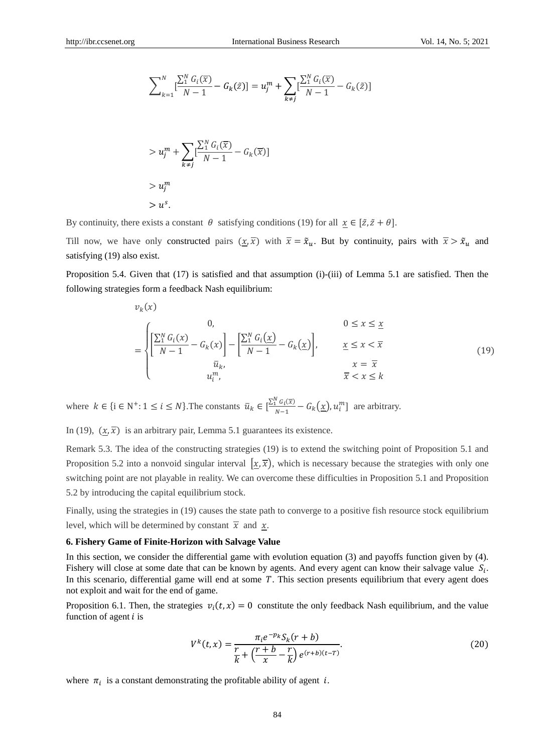$$
\sum_{k=1}^{N} \left[ \frac{\sum_{1}^{N} G_{i}(\bar{x})}{N-1} - G_{k}(\bar{z}) \right] = u_{j}^{m} + \sum_{k \neq j} \left[ \frac{\sum_{1}^{N} G_{i}(\bar{x})}{N-1} - G_{k}(\bar{z}) \right]
$$

$$
> u_j^m + \sum_{k \neq j} \left[ \frac{\sum_{i=1}^{N} G_i(\overline{x})}{N - 1} - G_k(\overline{x}) \right]
$$
  
>  $u_j^m$   
>  $u^s$ .

By continuity, there exists a constant  $\theta$  satisfying conditions (19) for all  $x \in [\tilde{z}, \tilde{z} + \theta]$ .

Till now, we have only constructed pairs  $(x, \overline{x})$  with  $\overline{x} = \tilde{x}_u$ . But by continuity, pairs with  $\overline{x} > \tilde{x}_u$  and satisfying (19) also exist.

Proposition 5.4. Given that (17) is satisfied and that assumption (i)-(iii) of Lemma 5.1 are satisfied. Then the following strategies form a feedback Nash equilibrium:

$$
v_k(x)
$$
  
\n
$$
= \begin{cases} 0, & 0 \le x \le \underline{x} \\ \left[\frac{\sum_{1}^{N} G_i(x)}{N-1} - G_k(x)\right] - \left[\frac{\sum_{1}^{N} G_i(\underline{x})}{N-1} - G_k(\underline{x})\right], & \underline{x} \le x < \overline{x} \\ \overline{u}_k, & x = \overline{x} \\ u_i^m, & \overline{x} < x \le k \end{cases} \tag{19}
$$

where  $k \in \{i \in \mathbb{N}^+: 1 \le i \le N\}$ . The constants  $\bar{u}_k \in [\frac{\sum_{i=1}^{N} G_i(\bar{x})}{N-1}]$  $\frac{d}{dx} \left[ \frac{u_i(x)}{v-1} - G_k(\underline{x}), u_i^m \right]$  are arbitrary.

In (19),  $(\underline{x}, \overline{x})$  is an arbitrary pair, Lemma 5.1 guarantees its existence.

Remark 5.3. The idea of the constructing strategies (19) is to extend the switching point of Proposition 5.1 and Proposition 5.2 into a nonvoid singular interval  $[\underline{x}, \overline{x}]$ , which is necessary because the strategies with only one switching point are not playable in reality. We can overcome these difficulties in Proposition 5.1 and Proposition 5.2 by introducing the capital equilibrium stock.

Finally, using the strategies in (19) causes the state path to converge to a positive fish resource stock equilibrium level, which will be determined by constant  $\overline{x}$  and  $x$ .

#### **6. Fishery Game of Finite-Horizon with Salvage Value**

In this section, we consider the differential game with evolution equation (3) and payoffs function given by (4). Fishery will close at some date that can be known by agents. And every agent can know their salvage value  $S_i$ . In this scenario, differential game will end at some  $T$ . This section presents equilibrium that every agent does not exploit and wait for the end of game.

Proposition 6.1. Then, the strategies  $v_i(t, x) = 0$  constitute the only feedback Nash equilibrium, and the value function of agent  $i$  is

$$
V^{k}(t,x) = \frac{\pi_{i}e^{-p_{k}}S_{k}(r+b)}{\frac{r}{k} + \left(\frac{r+b}{x} - \frac{r}{k}\right)e^{(r+b)(t-T)}}.
$$
\n(20)

where  $\pi_i$  is a constant demonstrating the profitable ability of agent *i*.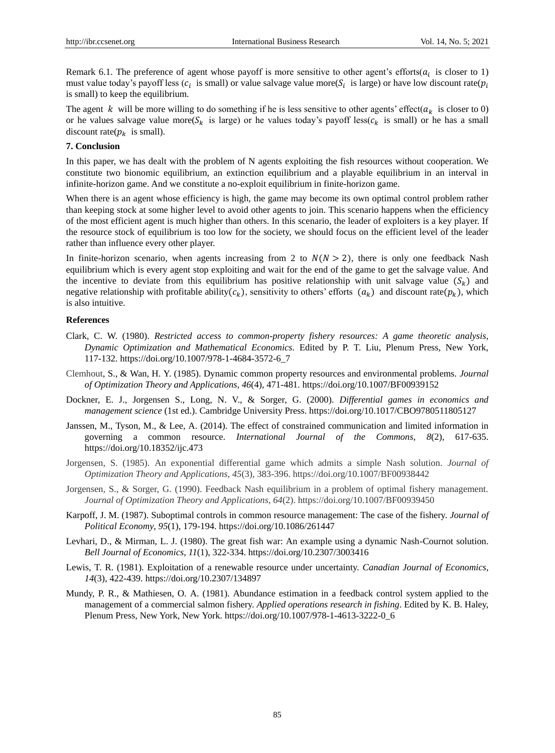Remark 6.1. The preference of agent whose payoff is more sensitive to other agent's efforts( $a_i$  is closer to 1) must value today's payoff less ( $c_i$  is small) or value salvage value more( $S_i$  is large) or have low discount rate( $p_i$ is small) to keep the equilibrium.

The agent k will be more willing to do something if he is less sensitive to other agents' effect( $a_k$  is closer to 0) or he values salvage value more( $S_k$  is large) or he values today's payoff less( $c_k$  is small) or he has a small discount rate( $p_k$  is small).

# **7. Conclusion**

In this paper, we has dealt with the problem of N agents exploiting the fish resources without cooperation. We constitute two bionomic equilibrium, an extinction equilibrium and a playable equilibrium in an interval in infinite-horizon game. And we constitute a no-exploit equilibrium in finite-horizon game.

When there is an agent whose efficiency is high, the game may become its own optimal control problem rather than keeping stock at some higher level to avoid other agents to join. This scenario happens when the efficiency of the most efficient agent is much higher than others. In this scenario, the leader of exploiters is a key player. If the resource stock of equilibrium is too low for the society, we should focus on the efficient level of the leader rather than influence every other player.

In finite-horizon scenario, when agents increasing from 2 to  $N(N > 2)$ , there is only one feedback Nash equilibrium which is every agent stop exploiting and wait for the end of the game to get the salvage value. And the incentive to deviate from this equilibrium has positive relationship with unit salvage value  $(S_k)$  and negative relationship with profitable ability( $c_k$ ), sensitivity to others' efforts  $(a_k)$  and discount rate( $p_k$ ), which is also intuitive.

#### **References**

- Clark, C. W. (1980). *Restricted access to common-property fishery resources: A game theoretic analysis, Dynamic Optimization and Mathematical Economics.* Edited by P. T. Liu, Plenum Press, New York, 117-132. https://doi.org/10.1007/978-1-4684-3572-6\_7
- Clemhout, S., & Wan, H. Y. (1985). Dynamic common property resources and environmental problems. *Journal of Optimization Theory and Applications, 46*(4), 471-481. https://doi.org/10.1007/BF00939152
- Dockner, E. J., Jorgensen S., Long, N. V., & Sorger, G. (2000). *Differential games in economics and management science* (1st ed.). Cambridge University Press. https://doi.org/10.1017/CBO9780511805127
- Janssen, M., Tyson, M., & Lee, A. (2014). The effect of constrained communication and limited information in governing a common resource. *International Journal of the Commons*, *8*(2), 617-635. https://doi.org/10.18352/ijc.473
- Jorgensen, S. (1985). An exponential differential game which admits a simple Nash solution. *Journal of Optimization Theory and Applications*, *45*(3), 383-396. https://doi.org/10.1007/BF00938442
- Jorgensen, S., & Sorger, G. (1990). Feedback Nash equilibrium in a problem of optimal fishery management. *Journal of Optimization Theory and Applications*, *64*(2). https://doi.org/10.1007/BF00939450
- Karpoff, J. M. (1987). Suboptimal controls in common resource management: The case of the fishery. *Journal of Political Economy*, *95*(1), 179-194. https://doi.org/10.1086/261447
- Levhari, D., & Mirman, L. J. (1980). The great fish war: An example using a dynamic Nash-Cournot solution. *Bell Journal of Economics*, *11*(1), 322-334. https://doi.org/10.2307/3003416
- Lewis, T. R. (1981). Exploitation of a renewable resource under uncertainty. *Canadian Journal of Economics*, *14*(3), 422-439. https://doi.org/10.2307/134897
- Mundy, P. R., & Mathiesen, O. A. (1981). Abundance estimation in a feedback control system applied to the management of a commercial salmon fishery. *Applied operations research in fishing*. Edited by K. B. Haley, Plenum Press, New York, New York. https://doi.org/10.1007/978-1-4613-3222-0\_6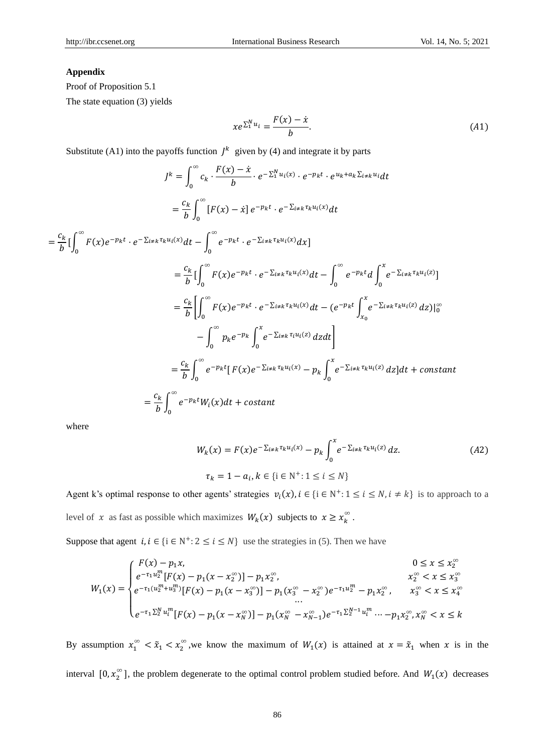# **Appendix**

Proof of Proposition 5.1

The state equation (3) yields

$$
xe^{\sum_{1}^{N}u_{i}} = \frac{F(x) - \dot{x}}{b}.
$$
 (A1)

Substitute (A1) into the payoffs function  $j^k$  given by (4) and integrate it by parts

$$
J^{k} = \int_{0}^{\infty} c_{k} \cdot \frac{F(x) - \dot{x}}{b} \cdot e^{-\sum_{1}^{N} u_{i}(x)} \cdot e^{-p_{k}t} \cdot e^{u_{k} + a_{k} \sum_{i \neq k}^{n} u_{i} dt}
$$
\n
$$
= \frac{c_{k}}{b} \int_{0}^{\infty} [F(x) - \dot{x}] e^{-p_{k}t} \cdot e^{-\sum_{i \neq k}^{n} \tau_{k} u_{i}(x)} dt
$$
\n
$$
= \frac{c_{k}}{b} [\int_{0}^{\infty} F(x) e^{-p_{k}t} \cdot e^{-\sum_{i \neq k}^{n} \tau_{k} u_{i}(x)} dt - \int_{0}^{\infty} e^{-p_{k}t} \cdot e^{-\sum_{i \neq k}^{n} \tau_{k} u_{i}(x)} dt] = \frac{c_{k}}{b} [\int_{0}^{\infty} F(x) e^{-p_{k}t} \cdot e^{-\sum_{i \neq k}^{n} \tau_{k} u_{i}(x)} dt - \int_{0}^{\infty} e^{-p_{k}t} d \int_{0}^{\infty} e^{-\sum_{i \neq k}^{n} \tau_{k} u_{i}(x)} dz]
$$
\n
$$
= \frac{c_{k}}{b} [\int_{0}^{\infty} F(x) e^{-p_{k}t} \cdot e^{-\sum_{i \neq k}^{n} \tau_{k} u_{i}(x)} dt - (e^{-p_{k}t} \int_{x_{0}}^{x} e^{-\sum_{i \neq k}^{n} \tau_{k} u_{i}(x)} dz)]_{0}^{\infty}
$$
\n
$$
- \int_{0}^{\infty} p_{k} e^{-p_{k}} \int_{0}^{x} e^{-\sum_{i \neq k}^{n} \tau_{i} u_{i}(x)} dz dt]
$$
\n
$$
= \frac{c_{k}}{b} \int_{0}^{\infty} e^{-p_{k}t} [F(x) e^{-\sum_{i \neq k}^{n} \tau_{k} u_{i}(x)} - p_{k} \int_{0}^{x} e^{-\sum_{i \neq k}^{n} \tau_{k} u_{i}(x)} dz] dt + constant
$$
\n
$$
= \frac{c_{k}}{b} \int_{0}^{\infty} e^{-p_{k}t} W_{i}(x) dt + constant
$$

where

$$
W_k(x) = F(x)e^{-\sum_{i \neq k} \tau_k u_i(x)} - p_k \int_0^x e^{-\sum_{i \neq k} \tau_k u_i(x)} dz.
$$
 (A2)  

$$
\tau_k = 1 - a_i, k \in \{i \in \mathbb{N}^+: 1 \le i \le N\}
$$

Agent k's optimal response to other agents' strategies  $v_i(x)$ ,  $i \in \{i \in \mathbb{N}^+: 1 \le i \le N, i \ne k\}$  is to approach to a level of x as fast as possible which maximizes  $W_k(x)$  subjects to  $x \ge x_k^{\infty}$ .

Suppose that agent  $i, i \in \{i \in \mathbb{N}^+: 2 \le i \le N\}$  use the strategies in (5). Then we have

$$
W_1(x) = \begin{cases} F(x) - p_1 x, & 0 \le x \le x_2^{\infty} \\ e^{-\tau_1 u_2^m} [F(x) - p_1(x - x_2^{\infty})] - p_1 x_2^{\infty}, & x_2^{\infty} < x \le x_3^{\infty} \\ e^{-\tau_1 (u_2^m + u_3^m)} [F(x) - p_1(x - x_3^{\infty})] - p_1 (x_3^{\infty} - x_2^{\infty}) e^{-\tau_1 u_2^m} - p_1 x_2^{\infty}, & x_3^{\infty} < x \le x_4^{\infty} \\ \dots \\ e^{-\tau_1 \sum_2^N u_i^m} [F(x) - p_1(x - x_3^{\infty})] - p_1 (x_3^{\infty} - x_{N-1}^{\infty}) e^{-\tau_1 \sum_2^N - 1} u_i^m \dots - p_1 x_2^{\infty}, & x_N^{\infty} < x \le k \end{cases}
$$

By assumption  $x_1^{\infty} < \tilde{x}_1 < x_2^{\infty}$ , we know the maximum of  $W_1(x)$  is attained at  $x = \tilde{x}_1$  when x is in the interval  $[0, x_2^{\infty}]$ , the problem degenerate to the optimal control problem studied before. And  $W_1(x)$  decreases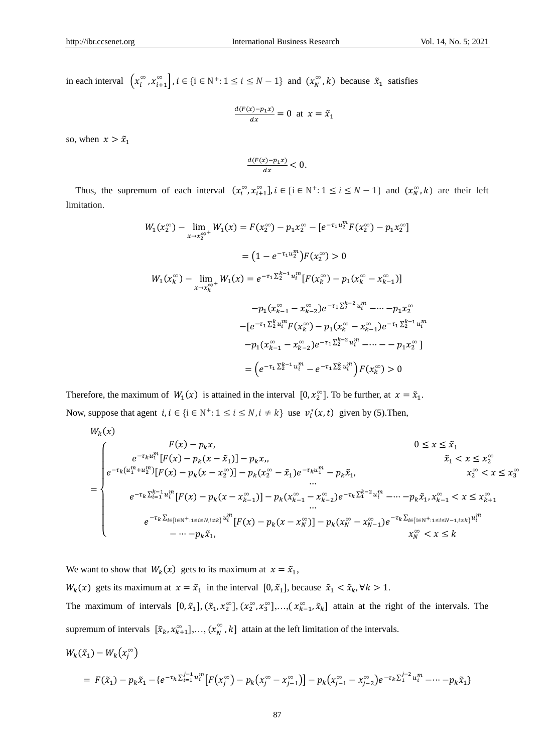in each interval  $\left(x_i^{\infty}, x_{i+1}^{\infty}\right), i \in \{i \in \mathbb{N}^+: 1 \le i \le N-1\}$  and  $\left(x_N^{\infty}, k\right)$  because  $\tilde{x}_1$  satisfies

$$
\frac{d(F(x)-p_1x)}{dx} = 0 \text{ at } x = \tilde{x}_1
$$

so, when  $x > \tilde{x}_1$ 

$$
\frac{d(F(x)-p_1x)}{dx}<0.
$$

Thus, the supremum of each interval  $(x_i^{\infty}, x_{i+1}^{\infty}], i \in \{i \in \mathbb{N}^+: 1 \le i \le N-1\}$  and  $(x_N^{\infty}, k)$  are their left limitation.

$$
W_1(x_2^{\infty}) - \lim_{x \to x_2^{\infty}} W_1(x) = F(x_2^{\infty}) - p_1 x_2^{\infty} - [e^{-\tau_1 u_2^m} F(x_2^{\infty}) - p_1 x_2^{\infty}]
$$
  

$$
= (1 - e^{-\tau_1 u_2^m}) F(x_2^{\infty}) > 0
$$
  

$$
W_1(x_k^{\infty}) - \lim_{x \to x_k^{\infty}} W_1(x) = e^{-\tau_1 \sum_{2}^{k-1} u_1^m} [F(x_k^{\infty}) - p_1(x_k^{\infty} - x_{k-1}^{\infty})]
$$
  

$$
-p_1(x_{k-1}^{\infty} - x_{k-2}^{\infty}) e^{-\tau_1 \sum_{2}^{k-2} u_1^m} - \dots - p_1 x_2^{\infty}
$$
  

$$
- [e^{-\tau_1 \sum_{2}^{k} u_1^m} F(x_k^{\infty}) - p_1(x_k^{\infty} - x_{k-1}^{\infty}) e^{-\tau_1 \sum_{2}^{k-1} u_1^m}
$$
  

$$
-p_1(x_{k-1}^{\infty} - x_{k-2}^{\infty}) e^{-\tau_1 \sum_{2}^{k-2} u_1^m} - \dots - p_1 x_2^{\infty}]
$$
  

$$
= (e^{-\tau_1 \sum_{2}^{k-1} u_1^m} - e^{-\tau_1 \sum_{2}^{k} u_1^m}) F(x_k^{\infty}) > 0
$$

Therefore, the maximum of  $W_1(x)$  is attained in the interval  $[0, x_2^{\infty}]$ . To be further, at  $x = \tilde{x}_1$ . Now, suppose that agent  $i, i \in \{i \in \mathbb{N}^+: 1 \le i \le N, i \ne k\}$  use  $v_i^*(x, t)$  given by (5). Then,

$$
W_{k}(x)
$$
\n
$$
= \begin{cases}\n e^{-\tau_{k}u_{1}^{m}}[F(x) - p_{k}(x - \tilde{x}_{1})] - p_{k}x, & 0 \leq x \leq \tilde{x}_{1} \\
 e^{-\tau_{k}(u_{1}^{m} + u_{2}^{m})}[F(x) - p_{k}(x - \tilde{x}_{2})] - p_{k}(x_{2}^{\infty} - \tilde{x}_{1})e^{-\tau_{k}u_{1}^{m}} - p_{k}\tilde{x}_{1}, & \tilde{x}_{1} < x \leq x_{2}^{\infty} \\
 e^{-\tau_{k}(\sum_{i=1}^{k-1} u_{i}^{m})}[F(x) - p_{k}(x - x_{2}^{\infty})] - p_{k}(x_{k-1}^{\infty} - x_{k-2}^{\infty})e^{-\tau_{k}(\sum_{i=1}^{k-2} u_{i}^{m}} - \cdots - p_{k}\tilde{x}_{1}, x_{k-1}^{\infty} < x \leq x_{k+1}^{\infty} \\
 e^{-\tau_{k}(\sum_{i=1}^{k-1} u_{i}^{m})}[F(x) - p_{k}(x - x_{k-1}^{\infty})] - p_{k}(x_{k}^{\infty} - x_{k-2}^{\infty})e^{-\tau_{k}(\sum_{i=1}^{k-2} u_{i}^{m}} - \cdots - p_{k}\tilde{x}_{1}, x_{k-1}^{\infty} < x \leq x_{k+1}^{\infty} \\
 e^{-\tau_{k}(\sum_{i=1}^{k-1} u_{i}^{m})}[F(x) - p_{k}(x - x_{N}^{\infty})] - p_{k}(x_{N}^{\infty} - x_{N-1}^{\infty})e^{-\tau_{k}(\sum_{i=1}^{k-1} u_{i}^{m})} < x \leq k\n\end{cases}
$$

We want to show that  $W_k(x)$  gets to its maximum at  $x = \tilde{x}_1$ ,

 $W_k(x)$  gets its maximum at  $x = \tilde{x}_1$  in the interval  $[0, \tilde{x}_1]$ , because  $\tilde{x}_1 < \tilde{x}_k$ ,  $\forall k > 1$ .

The maximum of intervals  $[0, \tilde{x}_1], (\tilde{x}_1, x_2^{\infty}], (x_2^{\infty}, x_3^{\infty}],..., (x_{k-1}^{\infty}, \tilde{x}_k]$  attain at the right of the intervals. The supremum of intervals  $[\tilde{x}_k, x_{k+1}^{\infty}], ..., (x_N^{\infty}, k]$  attain at the left limitation of the intervals.

$$
W_k(\tilde{x}_1) - W_k(x_j^{\infty})
$$
  
=  $F(\tilde{x}_1) - p_k \tilde{x}_1 - \{e^{-\tau_k \sum_{i=1}^{j-1} u_i^m} [F(x_j^{\infty}) - p_k(x_j^{\infty} - x_{j-1}^{\infty})] - p_k(x_{j-1}^{\infty} - x_{j-2}^{\infty})e^{-\tau_k \sum_{i=1}^{j-2} u_i^m} - \dots - p_k \tilde{x}_1\}$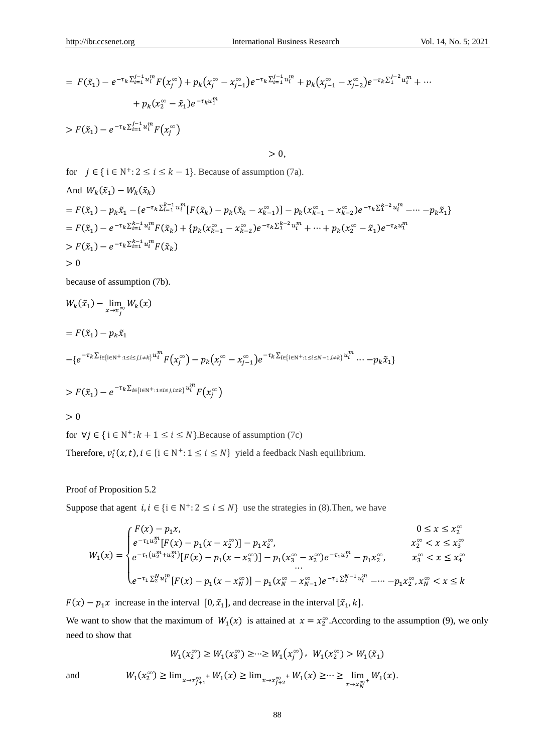$$
= F(\tilde{x}_1) - e^{-\tau_k \sum_{i=1}^{j-1} u_i^m} F(x_j^{\infty}) + p_k (x_j^{\infty} - x_{j-1}^{\infty}) e^{-\tau_k \sum_{i=1}^{j-1} u_i^m} + p_k (x_{j-1}^{\infty} - x_{j-2}^{\infty}) e^{-\tau_k \sum_{i=1}^{j-2} u_i^m} + \cdots
$$
  
+  $p_k (x_2^{\infty} - \tilde{x}_1) e^{-\tau_k u_1^m}$   
>  $F(\tilde{x}_1) - e^{-\tau_k \sum_{i=1}^{j-1} u_i^m} F(x_j^{\infty})$ 

 $> 0$ ,

for  $j \in \{ i \in \mathbb{N}^+ : 2 \le i \le k - 1 \}$ . Because of assumption (7a).

And 
$$
W_k(\tilde{x}_1) - W_k(\tilde{x}_k)
$$
  
\n
$$
= F(\tilde{x}_1) - p_k \tilde{x}_1 - \{e^{-\tau_k \sum_{i=1}^{k-1} u_i^m} [F(\tilde{x}_k) - p_k(\tilde{x}_k - x_{k-1}^{\infty})] - p_k(x_{k-1}^{\infty} - x_{k-2}^{\infty})e^{-\tau_k \sum_{i=1}^{k-2} u_i^m} - \cdots - p_k \tilde{x}_1\}
$$
\n
$$
= F(\tilde{x}_1) - e^{-\tau_k \sum_{i=1}^{k-1} u_i^m} F(\tilde{x}_k) + \{p_k(x_{k-1}^{\infty} - x_{k-2}^{\infty})e^{-\tau_k \sum_{i=1}^{k-2} u_i^m} + \cdots + p_k(x_2^{\infty} - \tilde{x}_1)e^{-\tau_k u_1^m}
$$
\n
$$
> F(\tilde{x}_1) - e^{-\tau_k \sum_{i=1}^{k-1} u_i^m} F(\tilde{x}_k)
$$
\n
$$
> 0
$$

because of assumption (7b).

$$
W_k(\tilde{x}_1) - \lim_{x \to x_j^{\infty}} W_k(x)
$$
  
=  $F(\tilde{x}_1) - p_k \tilde{x}_1$   

$$
- \{e^{-\tau_k \sum_{i \in \{i \in \mathbb{N}^+ : 1 \le i \le j, i \ne k\}} u_i^m F(x_j^{\infty}) - p_k (x_j^{\infty} - x_{j-1}^{\infty}) e^{-\tau_k \sum_{i \in \{i \in \mathbb{N}^+ : 1 \le i \le N-1, i \ne k\}} u_i^m \dots - p_k \tilde{x}_1\}}
$$
  
>  $F(\tilde{x}_1) - e^{-\tau_k \sum_{i \in \{i \in \mathbb{N}^+ : 1 \le i \le j, i \ne k\}} u_i^m} F(x_j^{\infty})$   
> 0

for  $\forall j \in \{i \in \mathbb{N}^*: k + 1 \le i \le N\}$ . Because of assumption (7c)

Therefore,  $v_i^*(x, t)$ ,  $i \in \{i \in N^+: 1 \le i \le N\}$  yield a feedback Nash equilibrium.

Proof of Proposition 5.2

Suppose that agent  $i, i \in \{i \in \mathbb{N}^+: 2 \le i \le N\}$  use the strategies in (8). Then, we have

$$
W_{1}(x) = \begin{cases} F(x) - p_{1}x, & 0 \leq x \leq x_{2}^{\infty} \\ e^{-\tau_{1}u_{2}^{m}}[F(x) - p_{1}(x - x_{2}^{\infty})] - p_{1}x_{2}^{\infty}, & x_{2}^{\infty} < x \leq x_{3}^{\infty} \\ e^{-\tau_{1}(u_{2}^{m} + u_{3}^{m})}[F(x) - p_{1}(x - x_{3}^{\infty})] - p_{1}(x_{3}^{\infty} - x_{2}^{\infty})e^{-\tau_{1}u_{2}^{m}} - p_{1}x_{2}^{\infty}, & x_{3}^{\infty} < x \leq x_{4}^{\infty} \\ \vdots & \vdots & \ddots & \vdots \\ e^{-\tau_{1}\sum_{2}^{N}u_{i}^{m}}[F(x) - p_{1}(x - x_{N}^{\infty})] - p_{1}(x_{N}^{\infty} - x_{N-1}^{\infty})e^{-\tau_{1}\sum_{2}^{N-1}u_{i}^{m}} - \cdots - p_{1}x_{2}^{\infty}, x_{N}^{\infty} < x \leq k \end{cases}
$$

 $F(x) - p_1 x$  increase in the interval  $[0, \tilde{x}_1]$ , and decrease in the interval  $[\tilde{x}_1, k]$ . We want to show that the maximum of  $W_1(x)$  is attained at  $x = x_2^{\infty}$ . According to the assumption (9), we only need to show that

$$
W_1(x_2^{\infty}) \ge W_1(x_3^{\infty}) \ge \dots \ge W_1(x_j^{\infty}), \ W_1(x_2^{\infty}) > W_1(\tilde{x}_1)
$$
  

$$
W_1(x_2^{\infty}) \ge \lim_{x \to x_{j+1}^{\infty}} W_1(x) \ge \lim_{x \to x_{j+2}^{\infty}} W_1(x) \ge \dots \ge \lim_{x \to x_N^{\infty}} W_1(x).
$$

and <sup>1</sup>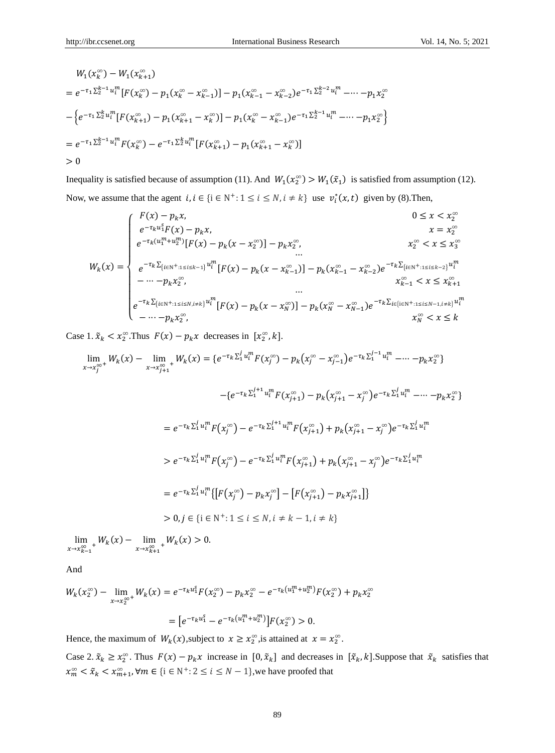$$
W_1(x_k^{\infty}) - W_1(x_{k+1}^{\infty})
$$
  
=  $e^{-\tau_1 \sum_2^{k-1} u_i^m} [F(x_k^{\infty}) - p_1(x_k^{\infty} - x_{k-1}^{\infty})] - p_1(x_{k-1}^{\infty} - x_{k-2}^{\infty})e^{-\tau_1 \sum_2^{k-2} u_i^m} - \cdots - p_1 x_2^{\infty}$   

$$
- \left\{ e^{-\tau_1 \sum_2^{k} u_i^m} [F(x_{k+1}^{\infty}) - p_1(x_{k+1}^{\infty} - x_k^{\infty})] - p_1(x_k^{\infty} - x_{k-1}^{\infty})e^{-\tau_1 \sum_2^{k-1} u_i^m} - \cdots - p_1 x_2^{\infty} \right\}
$$
  
=  $e^{-\tau_1 \sum_2^{k-1} u_i^m} F(x_k^{\infty}) - e^{-\tau_1 \sum_2^{k} u_i^m} [F(x_{k+1}^{\infty}) - p_1(x_{k+1}^{\infty} - x_k^{\infty})]$   
> 0

Inequality is satisfied because of assumption (11). And  $W_1(x_2^{\infty}) > W_1(\tilde{x}_1)$  is satisfied from assumption (12). Now, we assume that the agent  $i, i \in \{i \in \mathbb{N}^+: 1 \le i \le N, i \ne k\}$  use  $v_i^*(x, t)$  given by (8). Then,

$$
W_{k}(x) = \begin{cases} F(x) - p_{k}x, & 0 \leq x < x_{2}^{\infty} \\ e^{-\tau_{k}u_{1}^{n}}F(x) - p_{k}x, & x = x_{2}^{\infty} \\ e^{-\tau_{k}(u_{1}^{m} + u_{2}^{m})}[F(x) - p_{k}(x - x_{2}^{\infty})] - p_{k}x_{2}^{\infty}, & x_{2}^{\infty} < x \leq x_{3}^{\infty} \\ e^{-\tau_{k}\sum_{\{i \in \mathbb{N}^{+}:1\leq i \leq k-1\}} u_{i}^{m}}[F(x) - p_{k}(x - x_{k-1}^{\infty})] - p_{k}(x_{k-1}^{\infty} - x_{k-2}^{\infty})e^{-\tau_{k}\sum_{\{i \in \mathbb{N}^{+}:1\leq i \leq k-2\}} u_{i}^{m}} \\ \cdots \\ e^{-\tau_{k}\sum_{\{i \in \mathbb{N}^{+}:1\leq i \leq N, i \neq k\}} u_{i}^{m}}[F(x) - p_{k}(x - x_{N}^{\infty})] - p_{k}(x_{N}^{\infty} - x_{N-1}^{\infty})e^{-\tau_{k}\sum_{i \in \{i \in \mathbb{N}^{+}:1\leq i \leq N-1, i \neq k\}} u_{i}^{m}} \\ \cdots \\ e^{-\tau_{k}\sum_{\{i \in \mathbb{N}^{+}:1\leq i \leq N, i \neq k\}} u_{i}^{m}}[F(x) - p_{k}(x - x_{N}^{\infty})] - p_{k}(x_{N}^{\infty} - x_{N-1}^{\infty})e^{-\tau_{k}\sum_{i \in \{i \in \mathbb{N}^{+}:1\leq i \leq N-1, i \neq k\}} u_{i}^{m}} \\ \cdots \\ x_{N}^{\infty} < x \leq k \end{cases}
$$

Case 1.  $\tilde{x}_k < x_2^{\infty}$ . Thus  $F(x) - p_k x$  decreases in  $[x_2^{\infty}, k]$ .

$$
\lim_{x \to x_j^{\infty}} W_k(x) - \lim_{x \to x_{j+1}^{\infty}} W_k(x) = \{e^{-\tau_k \sum_{1}^{j} u_i^m} F(x_j^{\infty}) - p_k(x_j^{\infty} - x_{j-1}^{\infty})e^{-\tau_k \sum_{1}^{j-1} u_i^m} - \dots - p_k x_2^{\infty}\}
$$

$$
- \{e^{-\tau_k \sum_{1}^{j+1} u_i^m} F(x_{j+1}^{\infty}) - p_k (x_{j+1}^{\infty} - x_j^{\infty}) e^{-\tau_k \sum_{1}^{j} u_i^m} - \dots - p_k x_2^{\infty} \}
$$
  
\n
$$
= e^{-\tau_k \sum_{1}^{j} u_i^m} F(x_j^{\infty}) - e^{-\tau_k \sum_{1}^{j+1} u_i^m} F(x_{j+1}^{\infty}) + p_k (x_{j+1}^{\infty} - x_j^{\infty}) e^{-\tau_k \sum_{1}^{j} u_i^m}
$$
  
\n
$$
> e^{-\tau_k \sum_{1}^{j} u_i^m} F(x_j^{\infty}) - e^{-\tau_k \sum_{1}^{j} u_i^m} F(x_{j+1}^{\infty}) + p_k (x_{j+1}^{\infty} - x_j^{\infty}) e^{-\tau_k \sum_{1}^{j} u_i^m}
$$
  
\n
$$
= e^{-\tau_k \sum_{1}^{j} u_i^m} \{ [F(x_j^{\infty}) - p_k x_j^{\infty}] - [F(x_{j+1}^{\infty}) - p_k x_{j+1}^{\infty}] \}
$$
  
\n
$$
> 0, j \in \{i \in \mathbb{N}^+ : 1 \le i \le N, i \ne k - 1, i \ne k \}
$$

lim  $\lim_{x \to x_{k-1}^{\infty}+} W_k(x) - \lim_{x \to x_{k+1}^{\infty}}$  $\lim_{x \to x_{k+1}^{\infty}} W_k(x) > 0.$ 

And

$$
W_k(x_2^{\infty}) - \lim_{x \to x_2^{\infty}} W_k(x) = e^{-\tau_k u_1^s} F(x_2^{\infty}) - p_k x_2^{\infty} - e^{-\tau_k (u_1^m + u_2^m)} F(x_2^{\infty}) + p_k x_2^{\infty}
$$
  
= 
$$
[e^{-\tau_k u_1^s} - e^{-\tau_k (u_1^m + u_2^m)}]F(x_2^{\infty}) > 0.
$$

Hence, the maximum of  $W_k(x)$ , subject to  $x \ge x_2^{\infty}$ , is attained at  $x = x_2^{\infty}$ .

Case 2.  $\tilde{x}_k \ge x_2^{\infty}$ . Thus  $F(x) - p_k x$  increase in  $[0, \tilde{x}_k]$  and decreases in  $[\tilde{x}_k, k]$ . Suppose that  $\tilde{x}_k$  satisfies that  $x_m^{\infty} < \tilde{x}_k < x_{m+1}^{\infty}$ ,  $\forall m \in \{i \in \mathbb{N}^+: 2 \le i \le N-1\}$ , we have proofed that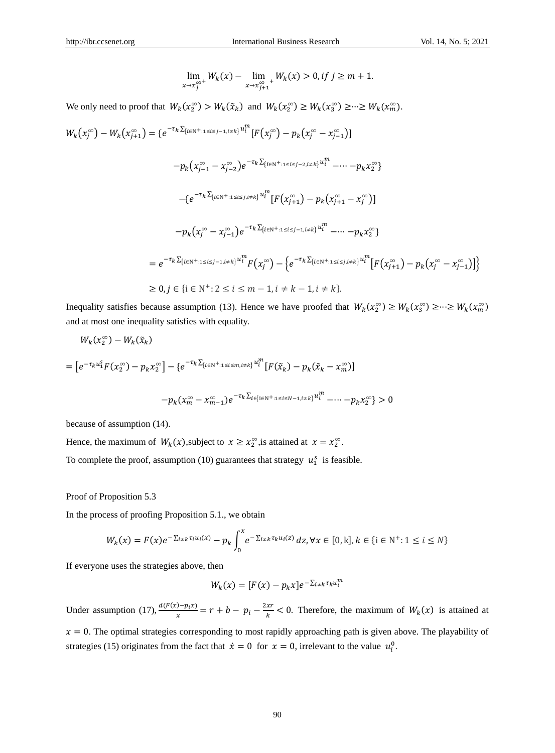$$
\lim_{x \to x_j^{\infty^+}} W_k(x) - \lim_{x \to x_{j+1}^{\infty^-}} W_k(x) > 0, \text{if } j \ge m+1.
$$

We only need to proof that  $W_k(x_2^{\infty}) > W_k(\tilde{x}_k)$  and  $W_k(x_2^{\infty}) \ge W_k(x_3^{\infty}) \ge \dots \ge W_k(x_m^{\infty})$ .

$$
W_{k}(x_{j}^{\infty}) - W_{k}(x_{j+1}^{\infty}) = \{e^{-\tau_{k}\sum_{\{i\in\mathbb{N}^{+}:1\leq i\leq j-1,i\neq k\}}u_{i}^{m}}[F(x_{j}^{\infty}) - p_{k}(x_{j}^{\infty} - x_{j-1}^{\infty})]\n- p_{k}(x_{j-1}^{\infty} - x_{j-2}^{\infty})e^{-\tau_{k}\sum_{\{i\in\mathbb{N}^{+}:1\leq i\leq j-2,i\neq k\}}u_{i}^{m}} - \cdots - p_{k}x_{2}^{\infty}\}\n- \{e^{-\tau_{k}\sum_{\{i\in\mathbb{N}^{+}:1\leq i\leq j,i\neq k\}}u_{i}^{m}}[F(x_{j+1}^{\infty}) - p_{k}(x_{j+1}^{\infty} - x_{j}^{\infty})]\n- p_{k}(x_{j}^{\infty} - x_{j-1}^{\infty})e^{-\tau_{k}\sum_{\{i\in\mathbb{N}^{+}:1\leq i\leq j-1,i\neq k\}}u_{i}^{m}} - \cdots - p_{k}x_{2}^{\infty}\}\n= e^{-\tau_{k}\sum_{\{i\in\mathbb{N}^{+}:1\leq i\leq j-1,i\neq k\}}u_{i}^{m}}F(x_{j}^{\infty}) - \{e^{-\tau_{k}\sum_{\{i\in\mathbb{N}^{+}:1\leq i\leq j,i\neq k\}}u_{i}^{m}}[F(x_{j+1}^{\infty}) - p_{k}(x_{j}^{\infty} - x_{j-1}^{\infty})]\}\n\geq 0, j \in \{i \in \mathbb{N}^{+}: 2 \leq i \leq m-1, i\neq k-1, i\neq k\}.
$$

Inequality satisfies because assumption (13). Hence we have proofed that  $W_k(x_2^{\infty}) \ge W_k(x_3^{\infty}) \ge \dots \ge W_k(x_m^{\infty})$ and at most one inequality satisfies with equality.

$$
W_{k}(x_{2}^{\infty}) - W_{k}(\tilde{x}_{k})
$$
\n
$$
= \left[ e^{-\tau_{k}u_{1}^{\varsigma}} F(x_{2}^{\infty}) - p_{k}x_{2}^{\infty} \right] - \left\{ e^{-\tau_{k}\sum_{\{i \in \mathbb{N}^{+}:1\leq i \leq m, i \neq k\}} u_{i}^{m}} [F(\tilde{x}_{k}) - p_{k}(\tilde{x}_{k} - x_{m}^{\infty})] - p_{k}(x_{m}^{\infty} - x_{m-1}^{\infty}) e^{-\tau_{k}\sum_{i \in \{i \in \mathbb{N}^{+}:1\leq i \leq N-1, i \neq k\}} u_{i}^{m}} - \dots - p_{k}x_{2}^{\infty} \right\} > 0
$$

because of assumption (14).

Hence, the maximum of  $W_k(x)$ , subject to  $x \ge x_2^{\infty}$ , is attained at  $x = x_2^{\infty}$ .

To complete the proof, assumption (10) guarantees that strategy  $u_1^s$  is feasible.

Proof of Proposition 5.3

In the process of proofing Proposition 5.1., we obtain

$$
W_k(x) = F(x)e^{-\sum_{i \neq k} \tau_i u_i(x)} - p_k \int_0^x e^{-\sum_{i \neq k} \tau_k u_i(x)} dz, \forall x \in [0, k], k \in \{i \in \mathbb{N}^+ : 1 \le i \le N\}
$$

If everyone uses the strategies above, then

$$
W_k(x) = [F(x) - p_k x]e^{-\sum_{i \neq k} \tau_k u_i^m}
$$

Under assumption (17),  $\frac{d(F(x)-p_i x)}{x} = r + b - p_i - \frac{2xr}{k}$  $\frac{\lambda t}{k}$  < 0. Therefore, the maximum of  $W_k(x)$  is attained at  $x = 0$ . The optimal strategies corresponding to most rapidly approaching path is given above. The playability of strategies (15) originates from the fact that  $\dot{x} = 0$  for  $x = 0$ , irrelevant to the value  $u_i^0$ .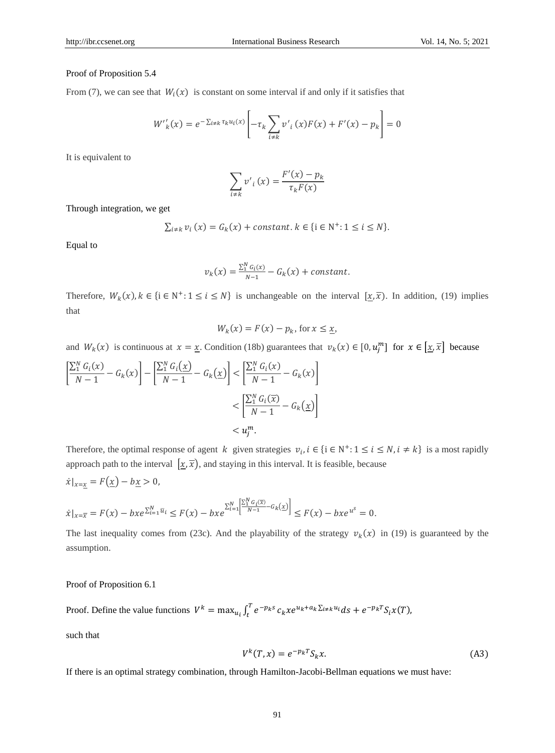## Proof of Proposition 5.4

From (7), we can see that  $W_i(x)$  is constant on some interval if and only if it satisfies that

$$
W'_{k}(x) = e^{-\sum_{i \neq k} \tau_{k} u_{i}(x)} \left[ -\tau_{k} \sum_{i \neq k} v'_{i}(x) F(x) + F'(x) - p_{k} \right] = 0
$$

It is equivalent to

$$
\sum_{i \neq k} v'_{i}(x) = \frac{F'(x) - p_{k}}{\tau_{k}F(x)}
$$

Through integration, we get

$$
\sum_{i \neq k} v_i(x) = G_k(x) + constant. \ k \in \{i \in \mathbb{N}^+: 1 \le i \le N\}.
$$

Equal to

$$
v_k(x) = \frac{\sum_{i=1}^{N} G_i(x)}{N-1} - G_k(x) + constant.
$$

Therefore,  $W_k(x)$ ,  $k \in \{i \in \mathbb{N}^+: 1 \le i \le N\}$  is unchangeable on the interval  $[\underline{x}, \overline{x})$ . In addition, (19) implies that

$$
W_k(x) = F(x) - p_k, \text{ for } x \le \underline{x},
$$

and  $W_k(x)$  is continuous at  $x = \underline{x}$ . Condition (18b) guarantees that  $v_k(x) \in [0, u_j^m]$  for  $x \in [\underline{x}, \overline{x}]$  because

$$
\left[\frac{\sum_{1}^{N} G_i(x)}{N-1} - G_k(x)\right] - \left[\frac{\sum_{1}^{N} G_i(\underline{x})}{N-1} - G_k(\underline{x})\right] < \left[\frac{\sum_{1}^{N} G_i(x)}{N-1} - G_k(x)\right] \\
&< \left[\frac{\sum_{1}^{N} G_i(\overline{x})}{N-1} - G_k(\underline{x})\right] \\
&< u_j^m.
$$

Therefore, the optimal response of agent k given strategies  $v_i, i \in \{i \in \mathbb{N}^+: 1 \le i \le N, i \ne k\}$  is a most rapidly approach path to the interval  $[x, \overline{x})$ , and staying in this interval. It is feasible, because

$$
\dot{x}|_{x=\underline{x}} = F(\underline{x}) - b\underline{x} > 0,
$$
  

$$
\dot{x}|_{x=\overline{x}} = F(x) - bxe^{\sum_{i=1}^{N} \overline{u}_i} \le F(x) - bxe^{\sum_{i=1}^{N} \left[\frac{\sum_{i=1}^{N} G_i(\overline{x})}{N-1} - G_k(\underline{x})\right]} \le F(x) - bxe^{u^S} = 0.
$$

The last inequality comes from (23c). And the playability of the strategy  $v_k(x)$  in (19) is guaranteed by the assumption.

## Proof of Proposition 6.1

Proof. Define the value functions  $V^k = \max_{u_i} \int_t^T e^{-p_k s}$  $\int_t^T e^{-p_k s} c_k x e^{u_k + a_k \sum_{i \neq k} u_i} ds + e^{-p_k T} S_i x(T),$ 

such that

$$
V^{k}(T, x) = e^{-p_k T} S_k x.
$$
\n(A3)

If there is an optimal strategy combination, through Hamilton-Jacobi-Bellman equations we must have: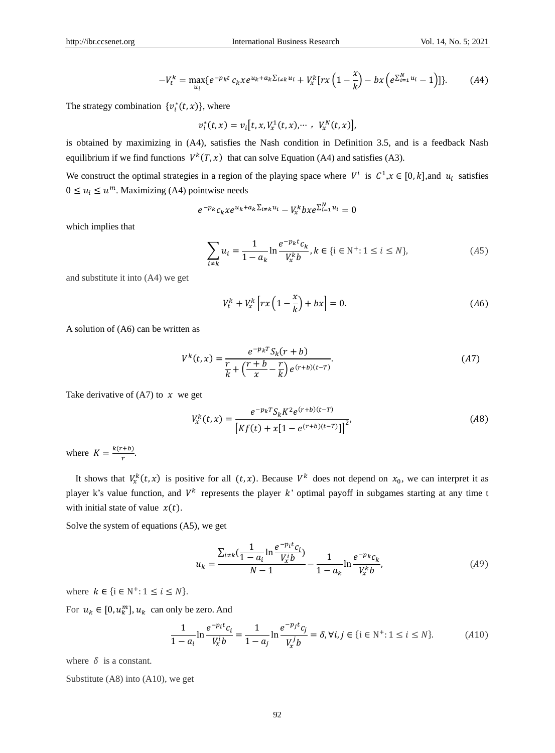$$
-V_t^k = \max_{u_i} \{ e^{-p_k t} c_k x e^{u_k + a_k \sum_{i \neq k} u_i} + V_x^k [r x \left( 1 - \frac{x}{k} \right) - b x \left( e^{\sum_{i=1}^N u_i} - 1 \right)] \}.
$$
 (A4)

The strategy combination  $\{v_i^*(t, x)\}\)$ , where

$$
v_i^*(t, x) = v_i[t, x, V_x^1(t, x), \cdots, V_x^N(t, x)],
$$

is obtained by maximizing in (A4), satisfies the Nash condition in Definition 3.5, and is a feedback Nash equilibrium if we find functions  $V^k(T, x)$  that can solve Equation (A4) and satisfies (A3).

We construct the optimal strategies in a region of the playing space where  $V^i$  is  $C^1, x \in [0, k]$ , and  $u_i$  satisfies  $0 \le u_i \le u^m$ . Maximizing (A4) pointwise needs

$$
e^{-p_k}c_kxe^{u_k+a_k\sum_{i\neq k}u_i}-V_x^kbx e^{\sum_{i=1}^N u_i}=0
$$

which implies that

$$
\sum_{i \neq k} u_i = \frac{1}{1 - a_k} \ln \frac{e^{-p_k t} c_k}{V_x^k b}, k \in \{i \in \mathbb{N}^+ : 1 \le i \le N\},\tag{A5}
$$

and substitute it into (A4) we get

$$
V_t^k + V_x^k \left[ rx \left( 1 - \frac{x}{k} \right) + bx \right] = 0. \tag{A6}
$$

A solution of (A6) can be written as

$$
V^{k}(t,x) = \frac{e^{-p_k T} S_k(r + b)}{\frac{r}{k} + \left(\frac{r + b}{x} - \frac{r}{k}\right) e^{(r + b)(t - T)}}.
$$
\n(A7)

Take derivative of  $(A7)$  to  $x$  we get

$$
V_x^k(t, x) = \frac{e^{-p_k T} S_k K^2 e^{(r+b)(t-T)}}{[Kf(t) + x[1 - e^{(r+b)(t-T)}]]^2},
$$
\n(A8)

where  $K = \frac{k(r+b)}{r}$  $\frac{1}{r}$ .

It shows that  $V_x^k(t, x)$  is positive for all  $(t, x)$ . Because  $V^k$  does not depend on  $x_0$ , we can interpret it as player k's value function, and  $V^k$  represents the player k' optimal payoff in subgames starting at any time t with initial state of value  $x(t)$ .

Solve the system of equations (A5), we get

$$
u_k = \frac{\sum_{i \neq k} \left( \frac{1}{1 - a_i} \ln \frac{e^{-p_i t} c_i}{V_x^i b} \right)}{N - 1} - \frac{1}{1 - a_k} \ln \frac{e^{-p_k c_k}}{V_x^k b},\tag{A9}
$$

where  $k \in \{i \in \mathbb{N}^+: 1 \le i \le N\}.$ 

For  $u_k \in [0, u_k^m]$ ,  $u_k$  can only be zero. And

$$
\frac{1}{1 - a_i} \ln \frac{e^{-p_i t} c_i}{V_x^i b} = \frac{1}{1 - a_j} \ln \frac{e^{-p_j t} c_j}{V_x^j b} = \delta, \forall i, j \in \{i \in \mathbb{N}^+ : 1 \le i \le N\}.
$$
 (A10)

where  $\delta$  is a constant.

Substitute (A8) into (A10), we get